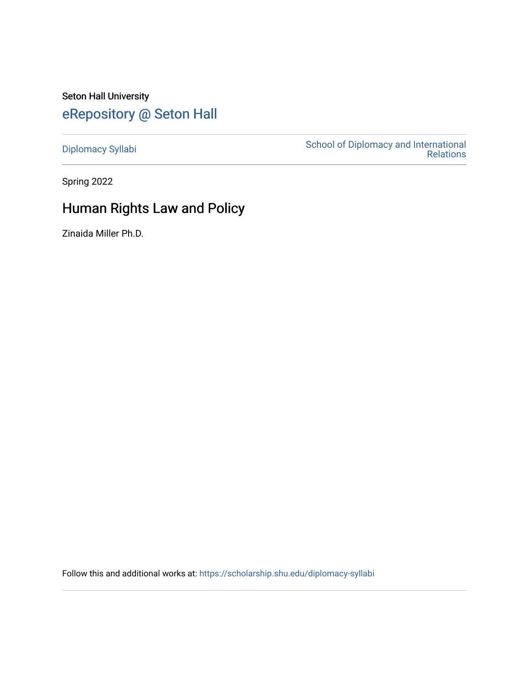Seton Hall University [eRepository @ Seton Hall](https://scholarship.shu.edu/)

[Diplomacy Syllabi](https://scholarship.shu.edu/diplomacy-syllabi) [School of Diplomacy and International](https://scholarship.shu.edu/diplomacy)  [Relations](https://scholarship.shu.edu/diplomacy) 

Spring 2022

# Human Rights Law and Policy

Zinaida Miller Ph.D.

Follow this and additional works at: [https://scholarship.shu.edu/diplomacy-syllabi](https://scholarship.shu.edu/diplomacy-syllabi?utm_source=scholarship.shu.edu%2Fdiplomacy-syllabi%2F645&utm_medium=PDF&utm_campaign=PDFCoverPages)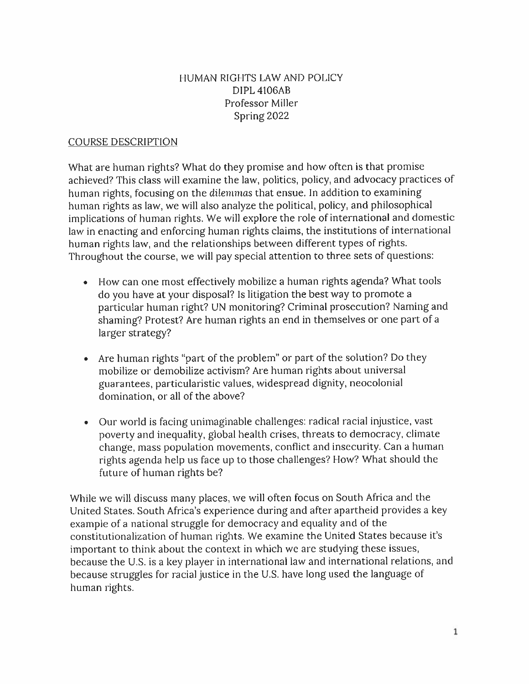#### HUMAN RIGHTS LAW AND POLICY DIPL 4106AB Professor Miller Spring 2022

#### COURSE DESCRIPTION

What are human rights? What do they promise and how often is that promise achieved? This class will examine the law, politics, policy, and advocacy practices of human rights, focusing on the dilemmas that ensue. In addition to examining human rights as law, we will also analyze the political, policy, and <sup>p</sup>hilosophical implications of human rights. We will explore the role of international and domestic law in enacting and enforcing human rights claims, the institutions of international human rights law, and the relationships between different types of rights. Throughout the course, we will pay special attention to three sets of questions:

- How can one most effectively mobilize <sup>a</sup> human rights agenda? What tools do you have at your disposal? Is litigation the best way to promote <sup>a</sup> particular human right? UN monitoring? Criminal prosecution? Naming and shaming? Protest? Are human rights an end in themselves or one par<sup>t</sup> of <sup>a</sup> larger strategy?
- Are human rights "par<sup>t</sup> of the problem" or par<sup>t</sup> of the solution? Do they mobilize or demobilize activism? Are human rights about universal guarantees, particularistic values, widespread dignity, neocolonial domination, or all of the above?
- Our world is facing unimaginable challenges: radical racial injustice, vast poverty and inequality, <sup>g</sup>lobal health crises, threats to democracy, climate change, mass population movements, conflict and insecurity. Can <sup>a</sup> human rights agenda help us face up to those challenges? How? What should the future of human rights be?

While we will discuss many <sup>p</sup>laces, we will often focus on South Africa and the United States. South Africa'<sup>s</sup> experience during and after apartheid provides <sup>a</sup> key example of <sup>a</sup> national struggle for democracy and equality and of the constitutionalization of human rights. We examine the United States because it's important to think about the context in which we are studying these issues, because the <sup>U</sup>.S. is <sup>a</sup> key <sup>p</sup>layer in international law and international relations, and because struggles for racial justice in the U.S. have long used the language of human rights.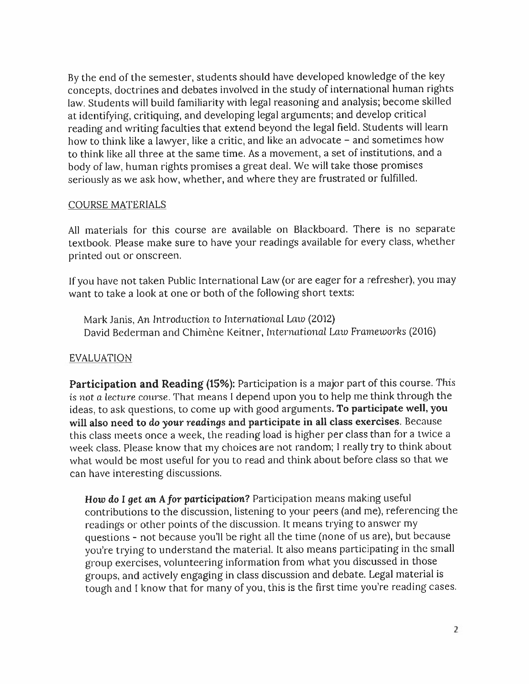By the end of the semester, students should have developed knowledge of the key concepts, doctrines and debates involved in the study of international human rights law. Students will build familiarity with legal reasoning and analysis; become skilled at identifying, critiquing, and developing legal arguments; and develop critical reading and writing faculties that extend beyond the legal field. Students will learn how to think like a lawyer, like a critic, and like an advocate - and sometimes how to think like all three at the same time. As <sup>a</sup> movement, <sup>a</sup> set of institutions, and <sup>a</sup> body of law, human rights promises <sup>a</sup> grea<sup>t</sup> deal. We will take those promises seriously as we ask how, whether, and where they are frustrated or fulfilled.

#### COURSE MATERIALS

All materials for this course are available on Blackboard. There is no separate textbook. Please make sure to have your readings available for every class, whether printed out or onscreen.

If you have not taken Public International Law (or are eager for <sup>a</sup> refresher), you may want to take <sup>a</sup> look at one or both of the following short texts:

Mark Janis, An Introduction to International Laio (2012) David Bederman and Chimène Keitner, International Law Frameworks (2016)

#### EVALUATION

**Participation and Reading (15%):** Participation is <sup>a</sup> major par<sup>t</sup> of this course. This is not *<sup>a</sup> lecture* course.That means <sup>1</sup> depend upon you to help me think through the ideas, to ask questions, to come up with goo<sup>d</sup> arguments.**To participate well, you will also need to** *do your readings* **and participate in all class exercises.** Because this class meets once <sup>a</sup> week, the reading load is higher per class than for <sup>a</sup> twice <sup>a</sup> week class. Please know that my choices are not random; <sup>I</sup> really try to think about what would be most useful for you to read and think about before class so that we can have interesting discussions.

How do <sup>I</sup> ge<sup>t</sup> *an <sup>A</sup> for participation?* Participation means making useful contributions to the discussion, listening to your peers (and me), referencing the readings or other points of the discussion. It means trying to answer my questions - not because you'll be right all the time (none of us are), but because you're trying to understand the material. It also means participating in the small group exercises, volunteering information from what you discussed in those groups, and actively engaging in class discussion and debate. Legal material is tough and <sup>I</sup> know that for many of you, this is the first time you're reading cases.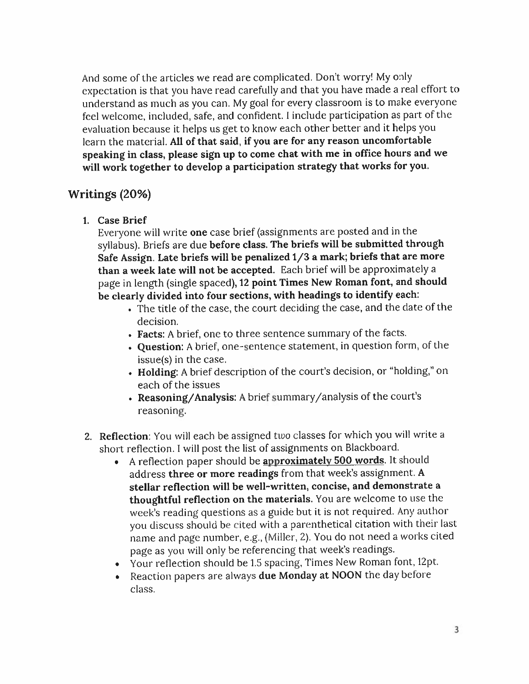And some of the articles we read are complicated. Don'<sup>t</sup> worry! My only expectation is that you have read carefully and that you have made <sup>a</sup> real effort to understand as much as you can. My goa<sup>l</sup> for every classroom is to make everyone feel welcome, included, safe, and confident. <sup>I</sup> include participation as par<sup>t</sup> of the evaluation because it helps us ge<sup>t</sup> to know each other better and it helps you learn the material. **All of that said, if you are for any reason uncomfortable speaking in class, <sup>p</sup>lease sign up to come chat with me in office hours and we will work together to develop <sup>a</sup> participation strategy that works for you.**

### **Writings (20%)**

**1. Case Brief**

Everyone will write **one** case brief (assignments are posted and in the syllabus). Briefs are due **before class. The briefs will be submitted through Safe Assign. Late briefs will be penalized <sup>1</sup>/<sup>3</sup> <sup>a</sup> mark; briefs that are more than <sup>a</sup> week late will not be accepted.** Each brief will be approximately <sup>a</sup> page in length (single spaced),<sup>12</sup> **point Times New Roman font, and should be clearly divided into four sections, with headings to identify each:**

- The title of the case, the court deciding the case, and the date of the decision.
- **• Facts:** <sup>A</sup> brief, one to three sentence summary of the facts.
- **. Question:** <sup>A</sup> brief, one-sentence statement, in question form, of the issue(s) in the case.
- **• Holding:** <sup>A</sup> brief description of the court'<sup>s</sup> decision, or "holding," on each of the issues
- **. Reasoning/Analysis:** <sup>A</sup> brief summary/analysis of the court's reasoning.
- 2. **Reflection**: You will each be assigned two classes for which you will write a short reflection. <sup>I</sup> will pos<sup>t</sup> the list of assignments on Blackboard.
	- <sup>A</sup> reflection paper should be **approximately 500 words. It** should address **three or more readings** from that week's assignment. **<sup>A</sup> stellar reflection will be well-written, concise, and demonstrate <sup>a</sup> thoughtful reflection on the materials.** You are welcome to use the week's reading questions as <sup>a</sup> guide but it is not required. Any author you discuss should be cited with <sup>a</sup> parenthetical citation with their last name and page number, <sup>e</sup>.g.,(Miller, 2). You do not need <sup>a</sup> works cited page as you will only be referencing that week'<sup>s</sup> readings.
	- Your reflection should be 1.5 spacing, Times New Roman font, <sup>12</sup>pt.
	- Reaction papers are always **due Monday at NOON** the day before class.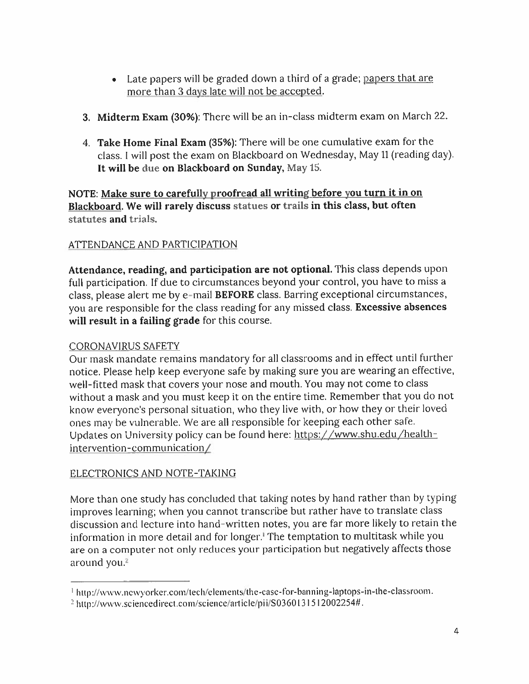- Late papers will be graded down a third of a grade; <u>papers that are</u> more than 3 days late will not be accepted.
- 3. **Midterm Exam** (3096): There will be an in-class midterm exam on March 22.
- <sup>4</sup>. **Take Home Final Exam** (35%): There will be one cumulative exam for the class. <sup>I</sup> will pos<sup>t</sup> the exam on Blackboard on Wednesday, May <sup>11</sup> (reading day). **It will be due on Blackboard on Sunday, May 15.**

#### **NOTE: Make sure to carefully proofread all writing before you turn it in on Blackboard. We will rarely discuss statues or trails in this class, but often statutes and** trials.

### ATTENDANCE AND PARTICIPATION

**Attendance, reading, and participation are not optional.** This class depends upon full participation. If due to circumstances beyond your control, you have to miss <sup>a</sup> class, <sup>p</sup>lease alert me by e-mail **BEFORE** class. Barring exceptional circumstances, you are responsible for the class reading for any missed class. **Excessive absences will result in <sup>a</sup> failing grade** for this course.

#### CORONAVIRUS SAFETY

Our mask mandate remains mandatory for all classrooms and in effect until further notice. Please help keep everyone safe by making sure you are wearing an effective, well-fitted mask that covers your nose and mouth. You may not come to class without <sup>a</sup> mask and you must keep it on the entire time. Remember that you do not know everyone'<sup>s</sup> persona<sup>l</sup> situation, who they live with, or how they or their loved ones may be vulnerable. We are all responsible for keeping each other safe. Updates on University policy can be found here: https://www.shu.edu/healthintervention-communication /

#### ELECTRONICS AND NOTE-TAKING

More than one study has concluded that taking notes by hand rather than by typing improves learning; when you cannot transcribe but rather have to translate class discussion and lecture into hand-written notes, you are far more likely to retain the information in more detail and for longer.<sup>1</sup> The temptation to multitask while you are on <sup>a</sup> computer not only reduces your participation but negatively affects those around you.<sup>2</sup>

http://www.newyorker.com/tech/elements/the-case-for-banning-laptops-in-the-classroom.

**<sup>2</sup> hitp:/Avww.sciencedirect.com/science/article/pii/S0360 <sup>l</sup> <sup>31512002254</sup># .**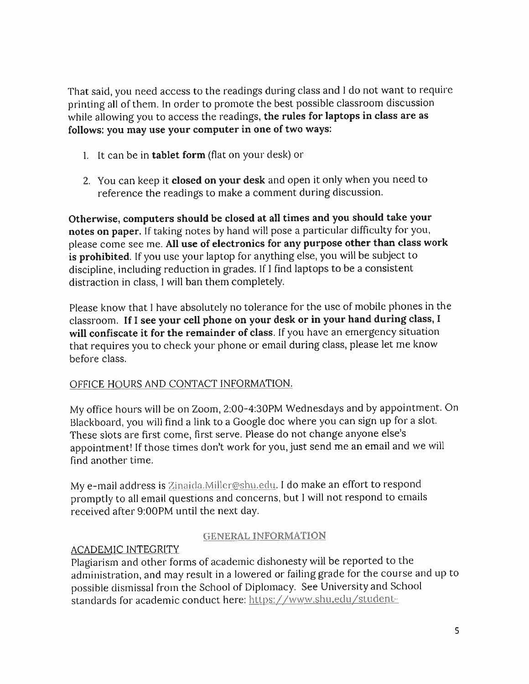That said, you need access to the readings during class and <sup>I</sup> do not want to require printing all of them. In order to promote the best possible classroom discussion while allowing you to access the readings, **the rules for laptops in class are as follows: you may use your computer in one of two ways:**

- 1. It can be in **tablet form** (flat on your desk) or
- 2. You can keep it **closed on your desk** and open it only when you need to reference the readings to make <sup>a</sup> comment during discussion.

**Otherwise, computers should be closed at all times and you should take your notes on paper.** If taking notes by hand will pose <sup>a</sup> particular difficulty for you, <sup>p</sup>lease come see me. **All use of electronics for any purpose other than class work is prohibited.** If you use your laptop for anything else, you will be subject to discipline, including reduction in grades. If <sup>I</sup> find laptops to be <sup>a</sup> consistent distraction in class, 1 will ban them completely.

Please know that <sup>I</sup> have absolutely no tolerance for the use of mobile <sup>p</sup>hones in the classroom. **If <sup>I</sup> see your cell <sup>p</sup>hone on your desk or in your hand during class, <sup>I</sup> will confiscate it for the remainder of class.** If you have an emergency situation that requires you to check your <sup>p</sup>hone or email during class, <sup>p</sup>lease let me know before class.

#### OFFICE HOURS AND CONTACT INFORMATION.

My office hours will be on Zoom, 2:00-4:30PM Wednesdays and by appointment. On Blackboard, you will find <sup>a</sup> link to <sup>a</sup> Google doc where you can sign up for <sup>a</sup> slot. These slots are first come, first serve. Please do not change anyone else's appointment!If those times don'<sup>t</sup> work for you, just send me an email and we will find another time.

My e-mail address is Zinaida.Miller@shu.edu. I do make an effort to respond promptly to all email questions and concerns, but <sup>1</sup> will not respon<sup>d</sup> to emails received after 9:00PM until the next day.

#### GENERAL INFORMATION

### ACADEMIC INTEGRITY

Plagiarism and other forms of academic dishonesty will be reported to the administration, and may result in <sup>a</sup> lowered or failing grade for the course and up to possible dismissal from the School of Diplomacy. See University and School standards for academic conduct here: https://www.shu.edu/student-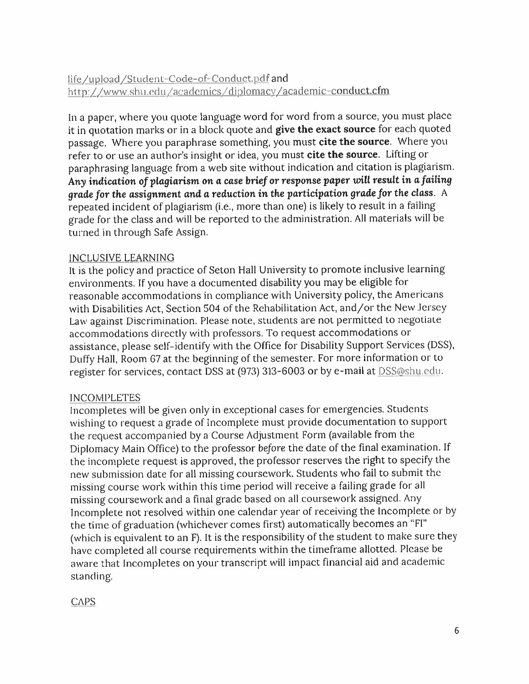### life /upload/Student-Code-of-Conduct.pdf and http://www.shu.edu/academics/diplomacy/academic-conduct.cfm

In a paper, where you quote language word for word from a source, you must place it in quotation marks or in <sup>a</sup> block quote and **<sup>g</sup>ive the exactsource** for each quoted passage. Where you paraphrase something, you must **cite the source.** Where you refer to or use an author'<sup>s</sup> insight or idea, you must **cite the source.** Lifting or paraphrasing language from <sup>a</sup> web site without indication and citation is <sup>p</sup>lagiarism. **Any indication** *of* **<sup>p</sup>lagiarism on <sup>a</sup> case** *brief or* **response paper will result in <sup>a</sup> /ailing** *grade for* **the assignment and <sup>a</sup> reduction in the participation** *grade for* **the class.** <sup>A</sup> repeated incident of <sup>p</sup>lagiarism (i.e., more than one) is likely to result in <sup>a</sup> failing grade for the class and will be reported to the administration. All materials will be turned in through Safe Assign.

#### INCLUSIVE LEARNING

It is the policy and practice of Seton Hall University to promote inclusive learning environments. If you have <sup>a</sup> documented disability you may be eligible for reasonable accommodations in compliance with University policy, the Americans with Disabilities Act, Section 504 of the Rehabilitation Act, and/or the New Jersey Law against Discrimination. Please note, students are not permitted to negotiate accommodations directly with professors. To reques<sup>t</sup> accommodations or assistance, <sup>p</sup>lease self-identify with the Office for Disability Support Services (DSS), Duffy Hall, Room <sup>67</sup> at the beginning of the semester. For more information or to register for services, contact DSS at (973) <sup>313</sup>-<sup>6003</sup> or by <sup>e</sup>-mail at DSS@shu.edu.

#### INCOMPLETES

Incompletes will be given only in exceptional cases for emergencies. Students wishing to reques<sup>t</sup> <sup>a</sup> grade of Incomplete must provide documentation to suppor<sup>t</sup> the reques<sup>t</sup> accompanied by <sup>a</sup> Course Adjustment Form (available from the Diplomacy Main Office) to the professor before the date of the final examination. If the incomplete reques<sup>t</sup> is approved, the professor reserves the right to specify the new submission date for all missing coursework. Students who fail to submit the missing course work within this time period will receive <sup>a</sup> failing grade for all missing coursework and <sup>a</sup> final grade based on all coursework assigned. Any Incomplete not resolved within one calendar year of receiving the Incomplete or by the time of graduation (whichever comes first) automatically becomes an "FI" (which is equivalent to an F). It is the responsibility of the student to make sure they have completed all course requirements within the timeframe allotted. Please be aware that Incompletes on your transcript will impact financial aid and academic standing.

#### **CAPS**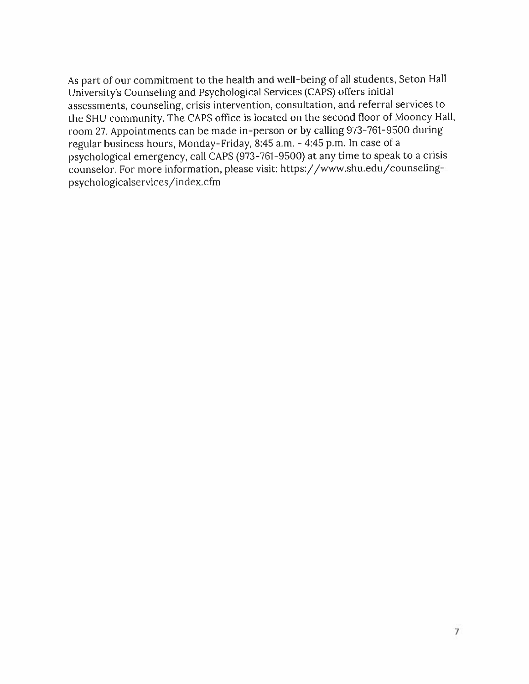As par<sup>t</sup> of our commitment to the health and well-being of all students, Seton Hall University'<sup>s</sup> Counseling and Psychological Services (CAPS) offers initial assessments, counseling, crisis intervention, consultation, and referral services to the SHU community. The CAPS office is located on the second floor of Mooney Hall, room <sup>27</sup>. Appointments can be made in-person or by calling 973-761-9500 during regular business hours, Monday-Friday, <sup>8</sup>:<sup>45</sup> <sup>a</sup>.m. - 4:<sup>45</sup> <sup>p</sup>.m. In case of <sup>a</sup> psychological emergency, call CAPS (973-761-9500) at any time to spea<sup>k</sup> to <sup>a</sup> crisis counselor. For more information, <sup>p</sup>lease visit: https://www.shu.edu/counselingpsychologicalservices/index.cfm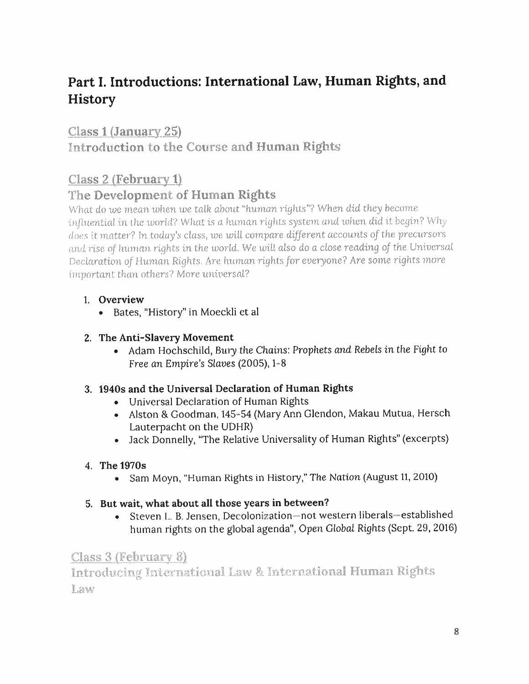# **Part <sup>I</sup>. Introductions: International Law, Human Rights, and History**

## Class1(January 25)

Introduction to the Course and Human Rights

## Class  $2$  (February 1)

## The Development of Human Rights

What do *we* mean *when* me talk about "human rights''? When *did they* become *influential in* the tuorld? What is *<sup>a</sup>* human,rightssyste?n and tuhen *did it: begin?* Why does it matter? In today'<sup>s</sup> class, we will compare *different accounts of the precursors and rise of human rightsin* the world. We mill also do <sup>a</sup> close reading *of the* Universal Declaration *of Human Rights. Are human* rights *for everyone? Are some* rights more *important* than others? More universal?

## **1. Overview**

**• Bates, "History" in Moeckli et al**

### **2. The Anti-Slavery Movement**

• Adam Hochschild, Bury the Chains: Prophets and Rebels in the Fight to Free an Empire's Slaves (2005), 1-8

### **3. 1940<sup>s</sup> and the Universal Declaration of Human Rights**

- **• Universal Declaration of Human Rights**
- **• Alston & Goodman, <sup>145</sup>-<sup>54</sup> (Mary Ann Glendon, Makau Mutua, Hersch Lauterpacht on the UDHR)**
- **• Jack Donnelly, "The Relative Universality of Human Rights" (excerpts)**

## **4. The 1970<sup>s</sup>**

**• Sam Moyn, "Human Rights in History," The Nation (August <sup>11</sup>, <sup>2010</sup>)**

### **5. But wait, what about all those years in between?**

**• Steven <sup>L</sup> B. Jensen, Decolonization—not western liberals—established human rights on the <sup>g</sup>lobal agenda", Open Global Rights (Sept. 29, 2016)**

Class 3 (February 8)

Introducing International Law & International Human Rights Law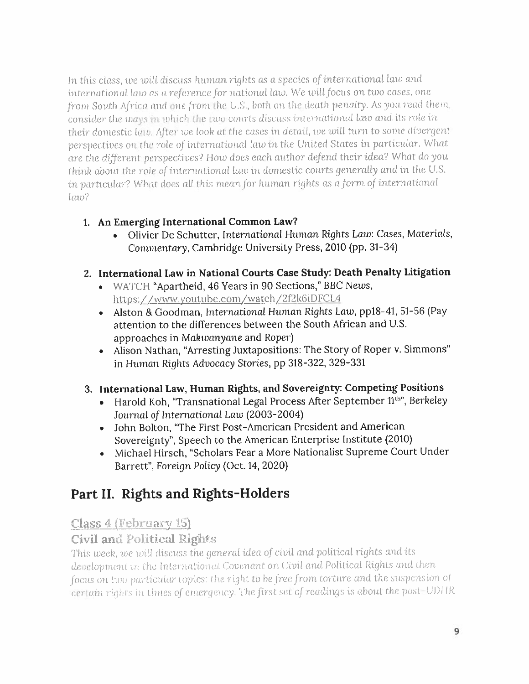In this *class, we will discuss human rights as <sup>a</sup> species of international* law *and international law as <sup>a</sup> reference for national* lata We *will focus on two cases, one from South Africa and one from the <sup>U</sup>.S.,* both on the death penalty. As you read them, consider the ways in which the two courts discuss international law and its role in *their domestic law. After we. look* at the casesin detail, toe *will* turn to some divergent perspectives oil the role *of international law* tn the United States in *particular.* What are the *different perspectives? How does each* author *defend their idea?* What do you think about the role of international law in domestic courts generally and in the U.S. in particular? What *does all* this mean *for* human *rights as <sup>a</sup> form of international law?*

- **<sup>1</sup>. An Emerging International Common Law?**
	- Olivier De Schutter, International Human Rights Law: Cases, Materials, Commentary, Cambridge University Press, <sup>2010</sup> (pp. <sup>31</sup>-34)
- **2. International Law in National Courts Case Study: Death Penalty Litigation**
	- WATCH "Apartheid, <sup>46</sup> Years in 90 Sections," BBC News, https://www.youtube.com/watch/2f2k6iDFCL4
	- Alston & Goodman, International Human Rights Law, ppl8 <sup>41</sup>, 51-56 (Pay attention to the differences between the South African and U.S. approaches in *Makwanyane* and Roper)
	- Alison Nathan, "Arresting Juxtapositions: The Story of Roper <sup>v</sup>. Simmons" in Human Rights Advocacy Stories, pp 318-322, 329-331

## **<sup>3</sup>. International Law, Human Rights, and Sovereignty: Competing Positions**

- Harold Koh, "Transnational Legal Process After September 11th", Berkeley *Journal of International Law* (2003-2004)
- John Bolton, "The First Post-American President and American Sovereignty", Speech to the American Enterprise Institute (2010)
- Michael Hirsch, "Scholars Fear <sup>a</sup> More Nationalist Supreme Court Under Barrett", *Foreign* Policy (Oct.14, 2020)

# **Part II. Rights and Rights-Holders**

## Class <sup>4</sup> (February 15)

## Civil and Political Rights

This week, *we will discuss* the genera<sup>l</sup> *idea of civil and political rights and* its development in the International Covenant on Civil and Political Rights and then *focus* on two particular topics: the right to be *free from* torture and the suspension *oj* certain rights in times *of emergency.* The *first:* set *of readings is* about *the past-<sup>U</sup> <sup>1</sup> )<sup>1</sup> IR*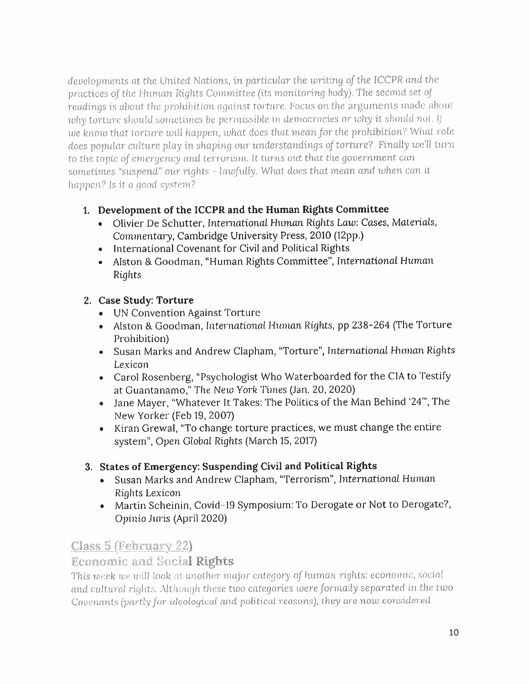*developments at the United Nations, in particular the writing of the* ICCPR *and* the practices of the Human Rights Committee (its monitoring body). *The second set of readings is about the prohibition against torture. Focus on the arguments made about* why torture should sometimes be permissible in democracies or why it should not. If me knorn that torture mill *happen,what does that mean for the prohibition?* What role does popular culture <sup>p</sup>lay in shaping our understandings of torture? Finally we'll lum to the topic *of emergency and* terrorism. It turns out that the governmen<sup>t</sup> can sometimes "suspend" our rights - *lawfully.* What does that mean and *when can it happen? Is it <sup>a</sup> good system?*

- **<sup>1</sup>. Development of the ICCPR and the Human Rights Committee**
	- Olivier De Schutter, International Human Rights Law: Cases, Materials, Commentary, Cambridge University Press, 2010 (12pp.)
	- International Covenant for Civil and Political Rights
	- Alston & Goodman, "Human Rights Committee", International Human Rights

## **2. Case Study: Torture**

- UN Convention Against Torture
- Alston & Goodman, Internationa! Human Rights, pp 238-264 (The Torture Prohibition)
- Susan Marks and Andrew Clapham, "Torture", *International* Human Rights Lexicon
- Carol Rosenberg, "Psychologist Who Waterboarded for the CIA to Testify at Guantanamo,"The Nern York Times (Jan. 20, 2020)
- Jane Mayer, "Whatever It Takes: The Politics of the Man Behind '24'", The New Yorker (Feb 19, 2007)
- Kiran Grewal, "To change torture practices, we must change the entire system", Open Global Rights (March 15, 2017)

## **3. States of Emergency: Suspending Civil and Political Rights**

- Susan Marks and Andrew Clapham, "Terrorism", International Human Rights Lexicon
- Martin Scheinin, Covid-<sup>19</sup> Symposium: To Derogate or Not to Derogate?, Opinio Juris (April 2020)

## Class 5 (February 22)

## Economic and Social Rights

This *week* me mil! look at another major category *of human rights: economic, social and cultural* rights. Although these tmo categories mere /ormally separated in *the two Covenants ( partly for ideological and* political reasons), ( hey *are* nom considered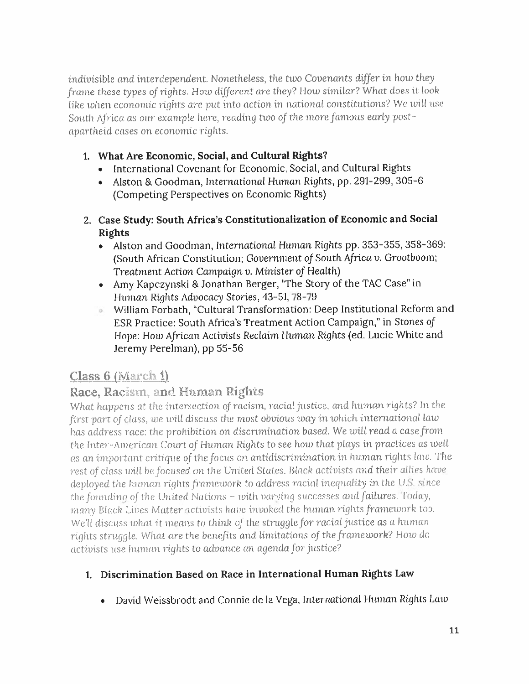indivisible *and interdependent. Nonetheless, the two Covenants differ* in how they *frame* these types of rights. How different are they? How similar? What does it look like when economic rights *are pu<sup>t</sup> into* action,in national constitutions? We will use South *Africa as our example here, reading* tioo *of the more famous early* post*apartheid cases on* economic *rights.*

- **1. What Are Economic, Social, and Cultural Rights?**
	- International Covenant for Economic, Social, and Cultural Rights
	- Alston & Goodman, International Human Rights, pp. 291-299, 305-<sup>6</sup> (Competing Perspectives on Economic Rights)
- **<sup>2</sup>. Case Study: South Africa'<sup>s</sup> Constitutionalization of Economic and Social Rights**
	- Alston and Goodman, International Human Rights pp. 353-355, 358-369: (South African Constitution; *Government of South Africa <sup>v</sup>.* Grootboom; Treatment Action *Campaign <sup>v</sup>.* Minister *of* Health)
	- Amy Kapczynski & Jonathan Berger, "The Story of the TAC Case" in Human Rights Advocacy Stories, 43-51, 78-79
	- William Forbath, "Cultural Transformation: Deep Institutional Reform and o. ESR Practice: South Africa's Treatment Action Campaign," in Stones *of Hope:* How *African* Activists Reclaim Human Rights (ed. Lucie White and Jeremy Perelman), pp 55-56

## **Class 6 (March 1)**

## **Race, Racism, and Human Rights**

What *happens* at *the intersection of racism,racial justice, and human rights?* In the /irst par<sup>t</sup> *of class, we will discuss* the most obvious ivay in ivhich *international law* has *address race:* the prohibition on discrimination based. We ivill read <sup>a</sup> *case from* the Inter -American *Court of Human* Rights to see hour that <sup>p</sup>laysin *practices* asivell as an important *critique of the focus* on antidiscrimination in human rights lain The rest *of class mil he focused on* the United States. *Black activists and their allies* have deployed the human rightsframeioork to address *racial* inequality in the <sup>U</sup>.S.since *the founding of* the *United Nations - with varying successes and failures. Today,* many Black Lives Matter activists have invoked the human rights framework too. We'll *discuss what it means to think oj* the struggle/or racial justice as <sup>a</sup> human rights struggle. What are the bene/its and limitations *of the framework? How do activists* use human rights to advance an *agenda for justice?*

## **<sup>1</sup>. Discrimination Based on Race in International Human Rights Law**

• David Weissbrodt and Connie de la Vega, International Human Rights Law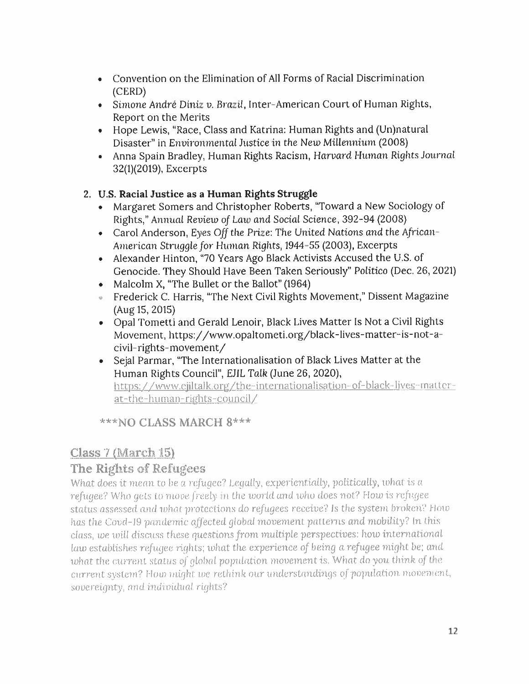- Convention on the Elimination of All Forms of Racial Discrimination (CERD)
- Simone Andre Diniz <sup>v</sup>. *Brazil ,* Inter-American Court of Human Rights, Report on the Merits
- • Hope Lewis, "Race, Class and Katrina: Human Rights and (Un)natural Disaster" in Environmental Justice in the New Millennium (2008)
- Anna Spain Bradley, Human Rights Racism, Harvard Human Rights Journal 32{1)(2019), Excerpts

### **2. U.S. Racial Justice as <sup>a</sup> Human Rights Struggle**

- Margaret Somers and Christopher Roberts, "Toward <sup>a</sup> New Sociology of Rights," Annual Review *of* Law and Social Science, 392-94 (2008)
- Carol Anderson, Eyes *Off* the Prize: The United Nations and the *African-American* Struggle *for* Hitman Rights, <sup>1944</sup>-55 (2003), Excerpts
- Alexander Hinton, "70 Years Ago Black Activists Accused the <sup>U</sup>.S. of Genocide. They Should Have Been Taken Seriously" Politico (Dec. <sup>26</sup>, <sup>2021</sup>)
- •Malcolm X, "The Bullet or the Ballot" (1964)
- Frederick C. Harris, "The Next Civil Rights Movement," Dissent Magazine (Aug15, 2015)
- Opal Tometti and Gerald Lenoir, Black Lives Matter Is Not <sup>a</sup> Civil Rights Movement, https://www.opaltometi.org/black-lives-matter-is-not-a civil-rights-movement/
- Sejal Parmar, "The Internationalisation of Black Lives Matter at the Human Rights Council", EJIL Talk (June 26, 2020), https://www.ejiltalk.org/the-internationalisation-of-black-lives-matterat-the-human-rights-council/

**\*\*\*NQ CLASS MARCH 8\*\*\***

## **Class 7 (March IS)**

## **The Rights of Refugees**

What does it mean to he *<sup>a</sup> refugee?* Legally, *experientially,* politically, ivhat is *<sup>a</sup> refugee*? Who gets to *move freely* in the world and who does not? How is *refugee status assessed and* what *protections* do *refugees receive? Is the* system broken? How has the Covd-<sup>19</sup> pandemic *affected* <sup>g</sup>lobal movement patterns *and* mobility? In this *class, we will discuss* <sup>t</sup> hese questionsfrom multiple perspectives: how international law establishes *refugee* rights; what the *experience of being <sup>a</sup> refugee* might be; *and what* the current status *of* <sup>g</sup>lobal population movement is. What do you *think of the current* system? How might we rethink our understandings of population movement, sovereignty, and individual rights?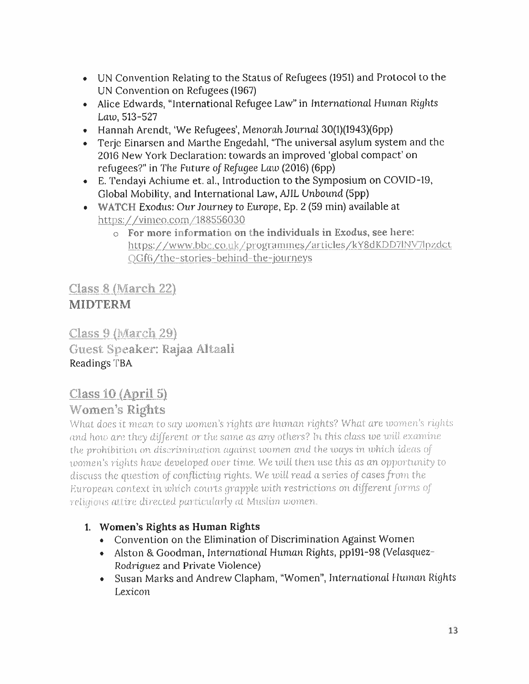- UN Convention Relating to the Status of Refugees (1951) and Protocol to the UN Convention on Refugees (1967)
- Alice Edwards, "International Refugee Law'' in International Human Rights Law, 513-527
- Hannah Arendt, 'We Refugees', Menorah Journal 30(1)(1943)(6pp)
- Terje Einarsen and Marthe Engedahl, "The universal asylum system and the 2016 New York Declaration: towards an improved 'global compact' on refugees?" in The Future *of Refugee Law* (2016) (6pp)
- <sup>E</sup>. Tendayi Achiume et. al., Introduction to the Symposium on COVID-19, Global Mobility, and International Law, AJIL Unbound (5pp)
- WATCH Exodus: Our Journey to Europe, Ep. 2 (59 min) available at https: //vimeo.com /188556Q30
	- <sup>o</sup> For more information on the individuals in Exodus, see here: https://www.bbc.co.uk /prograrnmes/articles/kY8dKDD71NV71pzdct QGf6/the-stories-behind-the-journeys

Class 8 (March 22) **MIDTERM**

Class 9 (March 29) Guest Speaker: Rajaa Altaali Readings TBA

## Class 10 (April 5)

## Women's Rights

What does it mean to say women's rights are human rights? What are women's rights and hom are they *different or* the same as any others? In this class *we* mill examine the prohibition on *discrimination* against women and the toays in which ideas *of* women's *rights have developed over* time. We will then use this as an opportunity *to discuss* the question *of conflicting rights.We will read <sup>a</sup>* series *of cases from the European context in* which courts *grapple with restrictions on different forms of religious* attire directed particularly at Muslim women.

## **<sup>1</sup>. Women'<sup>s</sup> Rights as Human Rights**

- Convention on the Elimination of Discrimination Against Women
- Alston & Goodman, International Human Rights, pp191-98 (Velasquez-Rodriguez and Private Violence)
- Susan Marks and Andrew Clapham, "Women", *International* Human Rights Lexicon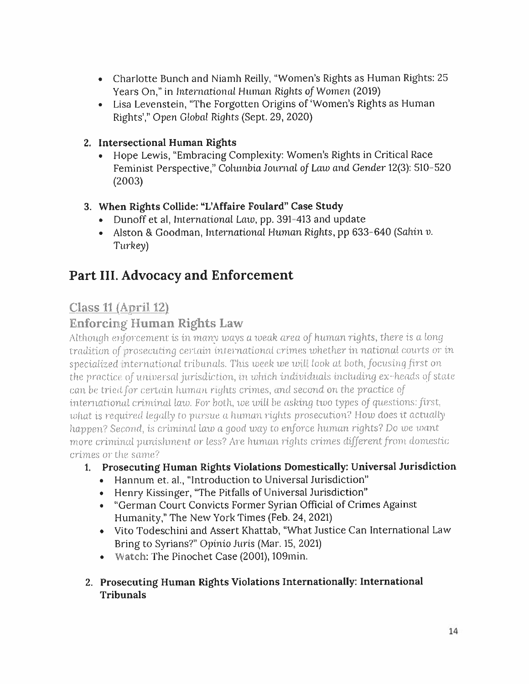- Charlotte Bunch and Niamh Reilly, "Women'<sup>s</sup> Rights as Human Rights: 25 Years On," in International Human Rights *of Women* (2019)
- Lisa Levenstein, "The Forgotten Origins of 'Women'<sup>s</sup> Rights as Human Rights'," Open Global Rights (Sept. 29, <sup>2020</sup>)

### **2. Intersectional Human Rights**

• Hope Lewis, "Embracing Complexity: Women'<sup>s</sup> Rights in Critical Race Feminist Perspective," Columbia Journal of Law and Gender **<sup>12</sup>(3): 510-520 (2003)**

### **3. When Rights Collide: "L'Affaire Foulard" Case Study**

- Dunoff et al, International Law, pp. 391-413 and update
- Alston & Goodman, International Human Rights, pp <sup>633</sup>-<sup>640</sup> (Sahin u. Turkey)

# **Part III. Advocacy and Enforcement**

## Class 11 (April 12)

## Enforcing Human Rights Law

Although *enforcement* is in many mays *<sup>a</sup>weak area of* hitman *rights,there is <sup>a</sup>* long tradition *of prosecuting* certain international crimes *whetherin* national courts or in specialized international tribunals. This *week* me mill look at *both, focusing first* on the *practice of universal jurisdiction,* in which individuals including ex-heads of state can be tried *for certain* human rights crimes, and second on the practice *of international criminal law. For* both, *we* will be asking tioo types *of questions: first,* what is required legally to pursue <sup>a</sup> human rights prosecution? How *does* it actually *happen*? Second, is criminal law *<sup>a</sup> good way to enforce human rights? Do we want: more* criminal punishment or *less? Are human rights crimes different from* domestic crimes or the same?

## **<sup>1</sup>. Prosecuting Human Rights Violations Domestically: Universal Jurisdiction**

- Hannum et. al., "Introduction to Universal Jurisdiction"
- Henry Kissinger, "The Pitfalls of Universal Jurisdiction"
- "German Court Convicts Former Syrian Official of Crimes Against Humanity," The New York Times (Feb. <sup>24</sup>, 2021)
- Vito Todeschini and Assert Khattab, "What Justice Can International Law Bring to Syrians?" Opinio Juris (Mar. 15, 2021)
- Watch: The Pinochet Case (2001), 109min.
- **2. Prosecuting Human Rights Violations Internationally: International Tribunals**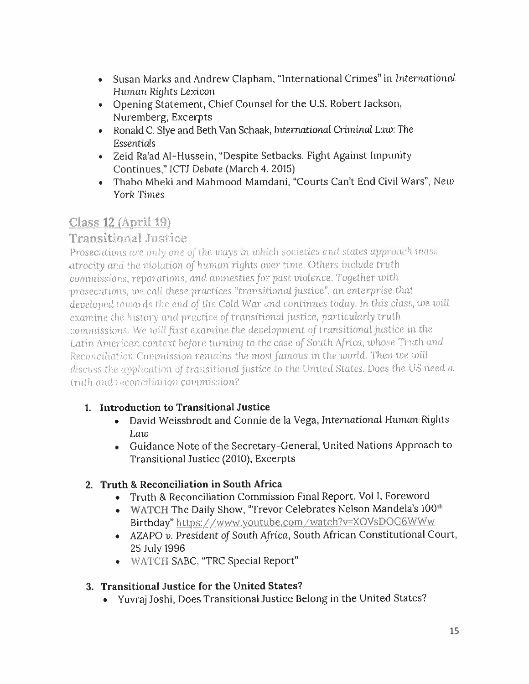- Susan Marks and Andrew Clapham, "International Crimes" in International Human Rights Lexicon
- Opening Statement, Chief Counsel for the <sup>U</sup>.S. Robert Jackson, Nuremberg, Excerpts
- Ronald <sup>C</sup>. Slye and Beth Van Schaak, International Criminal Law:The Essentials
- Zeid Ra'ad Al-Hussein, "Despite Setbacks, Fight Against Impunity Continues," ICTJ Debate (March 4, 2015)
- •Thabo Mbeki and Mahmood Mamdani, "Courts Can't End Civil Wars", New York Times

# Class 12 (April 19)

## Transitional.Justice

Prosecutions are only *one of the* ways *in* which societies and states approac<sup>h</sup> mass atrocity and the violation *of human* rights over time. Others *include* truth commissions, reparations, *and amnesties for pas<sup>t</sup> violence. Together with prosecutions, we call these* practices 'Transitional justice", an *enterprise* that developed towards the *end of the Cold* War arid continues today. In this class, *we* ivill examine the history *and practice* of transitional justice, particularly truth commissions. We *will first examine,* the *development of transitional justice in* the *Latin American context before turning to* the case of South *Africa, whose* Tmth *and Reconciliation Commission* remains *the most famous in the world.Then we.*will discuss the application of transitional justice to the. United States. Does the US *need <sup>a</sup> truth and reconciliation commission?*

## **1. Introduction to Transitional Justice**

- David Weissbrodt and Connie de la Vega, International Human Rights Law
- Guidance Note of the Secretary-General, United Nations Approach to Transitional Justice (2010), Excerpts

## **2. Truth & Reconciliation in South Africa**

- Truth & Reconciliation Commission Final Report. Vol <sup>I</sup>, Foreword
- WATCH The Daily Show, "Trevor Celebrates Nelson Mandela's 100<sup>th</sup> Birthday" https://www.youtube.com /watch?v=XOVsDOG6WWw
- AZAPO v. President *of* South *Africa,* South African Constitutional Court, 25 July 1996
- WATCH SABC, "TRC Special Report"

## **3. Transitional Justice for the United States?**

• Yuvraj Joshi, Does Transitional Justice Belong in the United States?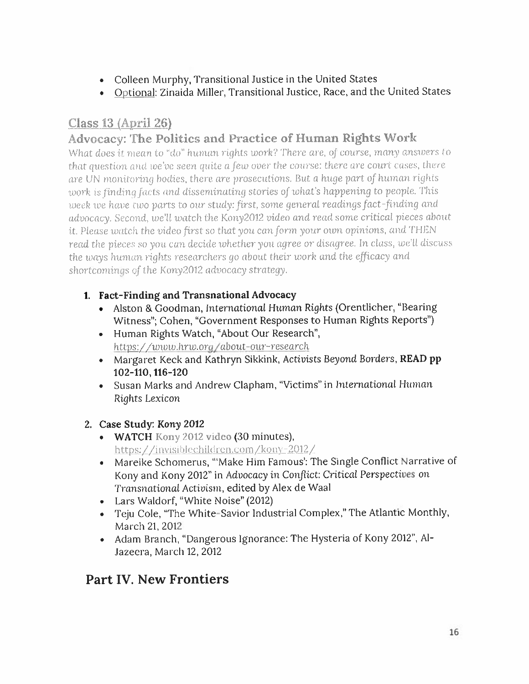- Colleen Murphy, Transitional Justice in the United States
- Optional: Zinaida Miller, Transitional Justice, Race, and the United States

# **Class 13 {April 26)**

## **Advocacy: The Politics and Practice of Human Rights Work**

What does it mean to "do" human *rights work? There are, of coarse, many answers to* that question and *we*'ve seen quite a *few* over the course: there are court cases, there *are UN monitoring* bodies, there are prosecutions. But <sup>a</sup> huge par<sup>t</sup> *of human rights work is finding facts and disseminating* stories *of what'<sup>s</sup> happening* to people. This meek roe hare tmo parts to our *study: first, some genera<sup>l</sup> readings fact-finding and advocacy. Second, we'll* match the Kony2012 *video and read* some *critical <sup>p</sup>ieces* about it. Please match the video *first so* that *you can form your* omn opinions, and THEN read the *<sup>p</sup>ieces so you* can *decide whether* you *agree or disagree. In* class, rue'll discuss the mays human rights researchers *go about their work and* the *efficacy and* shortcomings *of the* Kony2012 advocacy strategy.

- **1. Fact-Finding and Transnational Advocacy**
	- Alston & Goodman, *International* Human Rights (Orentlicher, "Bearing Witness"; Cohen, "Government Responses to Human Rights Reports")
	- Human Rights Watch, "About Our Research", *https: / /www.hrw.Qrg / about-our-research*
	- Margaret Keck and Kathryn Sikkink, Activists Beyond Borders, **READ pp 102-110, 116-120**
	- Susan Marks and Andrew Clapham, "Victims" in *International* Human Rights Lexicon

## **2. Case Study: Kony 2012**

- **• WATCH** Kony 2012 video (30 minutes), https://invisiblcchildrcn.com/kony-2Q12/
- Mareike Schomerus, '"Make Him Famous': The Single Conflict Narrative of Kony and Kony <sup>2012</sup>" in Advocacy in *Conflict: Critical Perspectives* on Transnational Activism, edited by Alex de Waal
- Lars Waldorf, "White Noise" (2012)
- Teju Cole, "The White-Savior Industrial Complex," The Atlantic Monthly, March 21, 2012
- Adam Branch, "Dangerous Ignorance: The Hysteria of Kony <sup>2012</sup>", Al-Jazecra, March 12, 2012

# **Part IV. New Frontiers**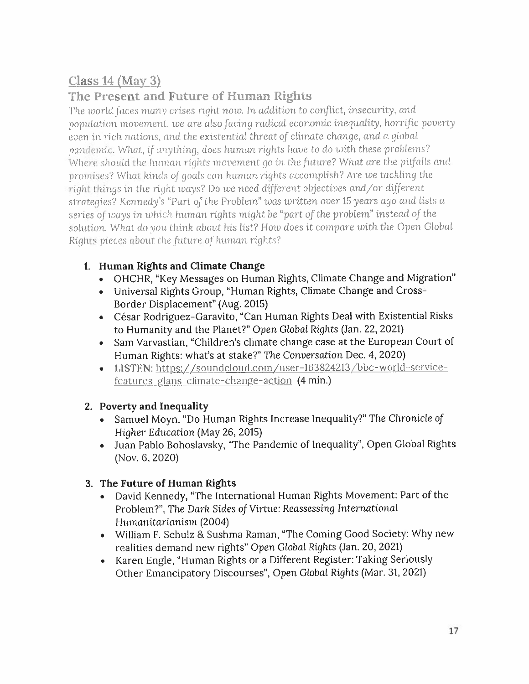# **Class 14 (May 3)**

## **The Present and Future of Human Rights**

The *world faces many crises right now. In addition* to *conflict, insecurity, and population movement, we are also facing radical* economic *inequality*, *horrific poverty even* in rich, nations, *and* the *existential* threat *of climate change, and <sup>a</sup>* global *pandemic.* What, *if anything, does human rights have to do with these problems?* Where should the human rights movement go *in* thefuture? What *are* the *<sup>p</sup>itfalls* and promises? What kinds *of* goals can human tights accomplish? Are *we* tackling the right things in the right mays? Do *we need different* objectives *and/or different strategies? Kennedy's " Part of the Problem*" teas *written over* 15 *years ago* and lists <sup>a</sup> series *of waysin which hum.an rights might be" par<sup>t</sup> of the problem" instead of the* solution. What *do you think about* his list? Hoxo does it *compare with the Open* Global Rights pieces about the *future of human rights?*

### **1. Human Rights and Climate Change**

- OHCHR, "Key Messages on Human Rights, Climate Change and Migration"
- Universal Rights Group, "Human Rights, Climate Change and Cross-Border Displacement" (Aug. 2015)
- César Rodriguez-Garavito, "Can Human Rights Deal with Existential Risks to Humanity and the Planet?" Open Global Rights (Jan. <sup>22</sup>, 2021)
- Sam Varvastian, "Children'<sup>s</sup> climate change case at the European Court of Human Rights: what'<sup>s</sup> at stake?" The Conversation Dec. <sup>4</sup>, <sup>2020</sup>)
- LISTEN: https://soundcloud.com/user-163824213/bbc-world-servicefeatures-glans-climatc-change-action (4 min.)

### **2. Poverty and Inequality**

- Samuel Moyn, "Do Human Rights Increase Inequality?" The Chronicle *of Higher* Education (May 26, 2015)
- Juan Pablo Bohoslavsky, "The Pandemic of Inequality", Open Global Rights (Nov. 6, 2020)

### **3. The Future of Human Rights**

- David Kennedy, "The International Human Rights Movement: Part of the Problem?", The Dark Sides *of* Virtue: Reassessing International Humanitarianism (2004)
- William <sup>F</sup>. Schulz & Sushma Raman, "The Coming Good Society: Why new realities demand new rights" Open Global Rights (Jan. 20, <sup>2021</sup>)
- Karen Engle, "Human Rights or <sup>a</sup> Different Register:Taking Seriously Other Emancipatory Discourses", Open Global Rights (Mar. 31, <sup>2021</sup>)